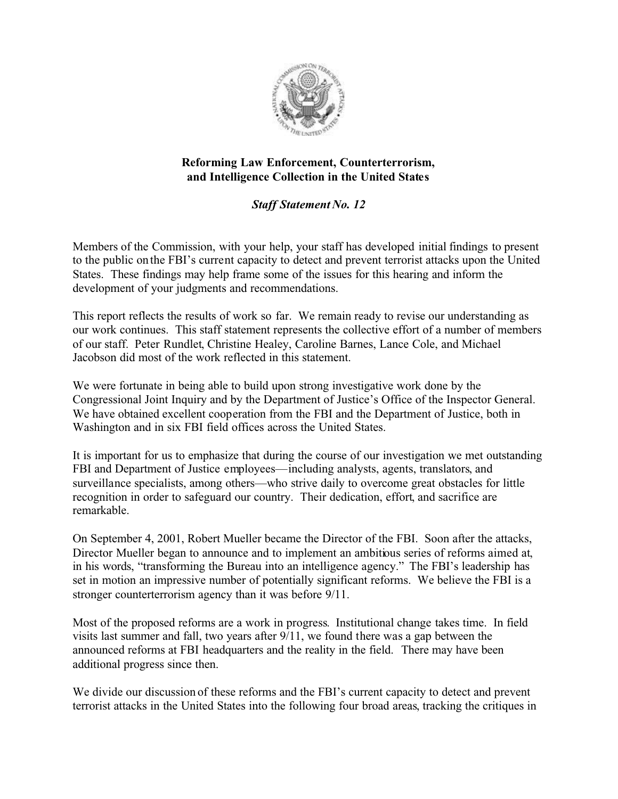

### **Reforming Law Enforcement, Counterterrorism, and Intelligence Collection in the United States**

# *Staff Statement No. 12*

Members of the Commission, with your help, your staff has developed initial findings to present to the public on the FBI's current capacity to detect and prevent terrorist attacks upon the United States. These findings may help frame some of the issues for this hearing and inform the development of your judgments and recommendations.

This report reflects the results of work so far. We remain ready to revise our understanding as our work continues. This staff statement represents the collective effort of a number of members of our staff. Peter Rundlet, Christine Healey, Caroline Barnes, Lance Cole, and Michael Jacobson did most of the work reflected in this statement.

We were fortunate in being able to build upon strong investigative work done by the Congressional Joint Inquiry and by the Department of Justice's Office of the Inspector General. We have obtained excellent cooperation from the FBI and the Department of Justice, both in Washington and in six FBI field offices across the United States.

It is important for us to emphasize that during the course of our investigation we met outstanding FBI and Department of Justice employees—including analysts, agents, translators, and surveillance specialists, among others—who strive daily to overcome great obstacles for little recognition in order to safeguard our country. Their dedication, effort, and sacrifice are remarkable.

On September 4, 2001, Robert Mueller became the Director of the FBI. Soon after the attacks, Director Mueller began to announce and to implement an ambitious series of reforms aimed at, in his words, "transforming the Bureau into an intelligence agency." The FBI's leadership has set in motion an impressive number of potentially significant reforms. We believe the FBI is a stronger counterterrorism agency than it was before 9/11.

Most of the proposed reforms are a work in progress. Institutional change takes time. In field visits last summer and fall, two years after 9/11, we found there was a gap between the announced reforms at FBI headquarters and the reality in the field. There may have been additional progress since then.

We divide our discussion of these reforms and the FBI's current capacity to detect and prevent terrorist attacks in the United States into the following four broad areas, tracking the critiques in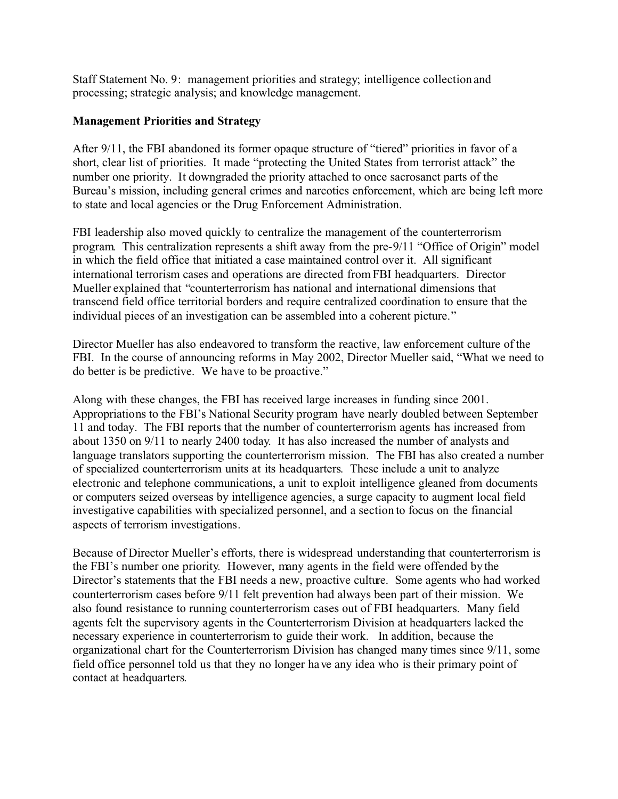Staff Statement No. 9: management priorities and strategy; intelligence collection and processing; strategic analysis; and knowledge management.

#### **Management Priorities and Strategy**

After 9/11, the FBI abandoned its former opaque structure of "tiered" priorities in favor of a short, clear list of priorities. It made "protecting the United States from terrorist attack" the number one priority. It downgraded the priority attached to once sacrosanct parts of the Bureau's mission, including general crimes and narcotics enforcement, which are being left more to state and local agencies or the Drug Enforcement Administration.

FBI leadership also moved quickly to centralize the management of the counterterrorism program. This centralization represents a shift away from the pre-9/11 "Office of Origin" model in which the field office that initiated a case maintained control over it. All significant international terrorism cases and operations are directed from FBI headquarters. Director Mueller explained that "counterterrorism has national and international dimensions that transcend field office territorial borders and require centralized coordination to ensure that the individual pieces of an investigation can be assembled into a coherent picture."

Director Mueller has also endeavored to transform the reactive, law enforcement culture of the FBI. In the course of announcing reforms in May 2002, Director Mueller said, "What we need to do better is be predictive. We have to be proactive."

Along with these changes, the FBI has received large increases in funding since 2001. Appropriations to the FBI's National Security program have nearly doubled between September 11 and today. The FBI reports that the number of counterterrorism agents has increased from about 1350 on 9/11 to nearly 2400 today. It has also increased the number of analysts and language translators supporting the counterterrorism mission. The FBI has also created a number of specialized counterterrorism units at its headquarters. These include a unit to analyze electronic and telephone communications, a unit to exploit intelligence gleaned from documents or computers seized overseas by intelligence agencies, a surge capacity to augment local field investigative capabilities with specialized personnel, and a section to focus on the financial aspects of terrorism investigations.

Because of Director Mueller's efforts, there is widespread understanding that counterterrorism is the FBI's number one priority. However, many agents in the field were offended by the Director's statements that the FBI needs a new, proactive culture. Some agents who had worked counterterrorism cases before 9/11 felt prevention had always been part of their mission. We also found resistance to running counterterrorism cases out of FBI headquarters. Many field agents felt the supervisory agents in the Counterterrorism Division at headquarters lacked the necessary experience in counterterrorism to guide their work. In addition, because the organizational chart for the Counterterrorism Division has changed many times since 9/11, some field office personnel told us that they no longer have any idea who is their primary point of contact at headquarters.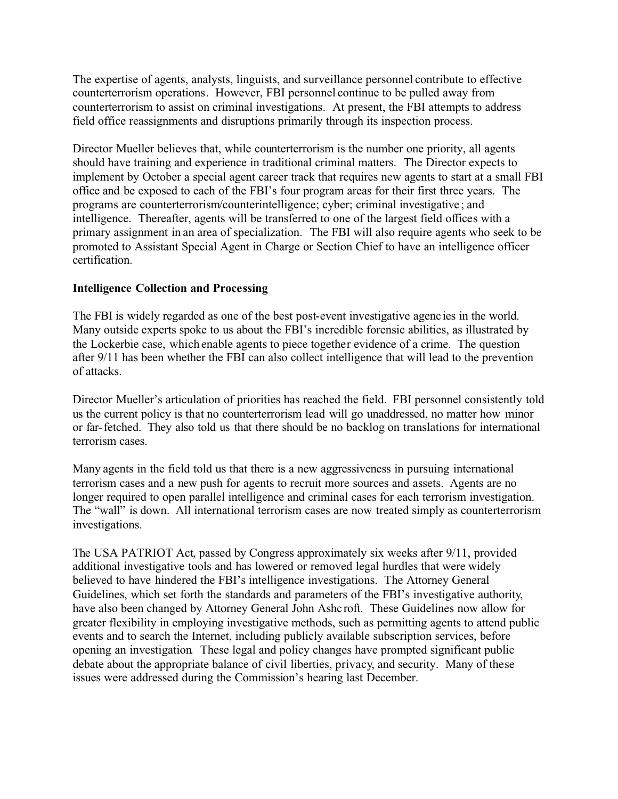The expertise of agents, analysts, linguists, and surveillance personnel contribute to effective counterterrorism operations. However, FBI personnel continue to be pulled away from counterterrorism to assist on criminal investigations. At present, the FBI attempts to address field office reassignments and disruptions primarily through its inspection process.

Director Mueller believes that, while counterterrorism is the number one priority, all agents should have training and experience in traditional criminal matters. The Director expects to implement by October a special agent career track that requires new agents to start at a small FBI office and be exposed to each of the FBI's four program areas for their first three years. The programs are counterterrorism/counterintelligence; cyber; criminal investigative; and intelligence. Thereafter, agents will be transferred to one of the largest field offices with a primary assignment in an area of specialization. The FBI will also require agents who seek to be promoted to Assistant Special Agent in Charge or Section Chief to have an intelligence officer certification.

### **Intelligence Collection and Processing**

The FBI is widely regarded as one of the best post-event investigative agenc ies in the world. Many outside experts spoke to us about the FBI's incredible forensic abilities, as illustrated by the Lockerbie case, which enable agents to piece together evidence of a crime. The question after 9/11 has been whether the FBI can also collect intelligence that will lead to the prevention of attacks.

Director Mueller's articulation of priorities has reached the field. FBI personnel consistently told us the current policy is that no counterterrorism lead will go unaddressed, no matter how minor or far-fetched. They also told us that there should be no backlog on translations for international terrorism cases.

Many agents in the field told us that there is a new aggressiveness in pursuing international terrorism cases and a new push for agents to recruit more sources and assets. Agents are no longer required to open parallel intelligence and criminal cases for each terrorism investigation. The "wall" is down. All international terrorism cases are now treated simply as counterterrorism investigations.

The USA PATRIOT Act, passed by Congress approximately six weeks after 9/11, provided additional investigative tools and has lowered or removed legal hurdles that were widely believed to have hindered the FBI's intelligence investigations. The Attorney General Guidelines, which set forth the standards and parameters of the FBI's investigative authority, have also been changed by Attorney General John Ashc roft. These Guidelines now allow for greater flexibility in employing investigative methods, such as permitting agents to attend public events and to search the Internet, including publicly available subscription services, before opening an investigation. These legal and policy changes have prompted significant public debate about the appropriate balance of civil liberties, privacy, and security. Many of these issues were addressed during the Commission's hearing last December.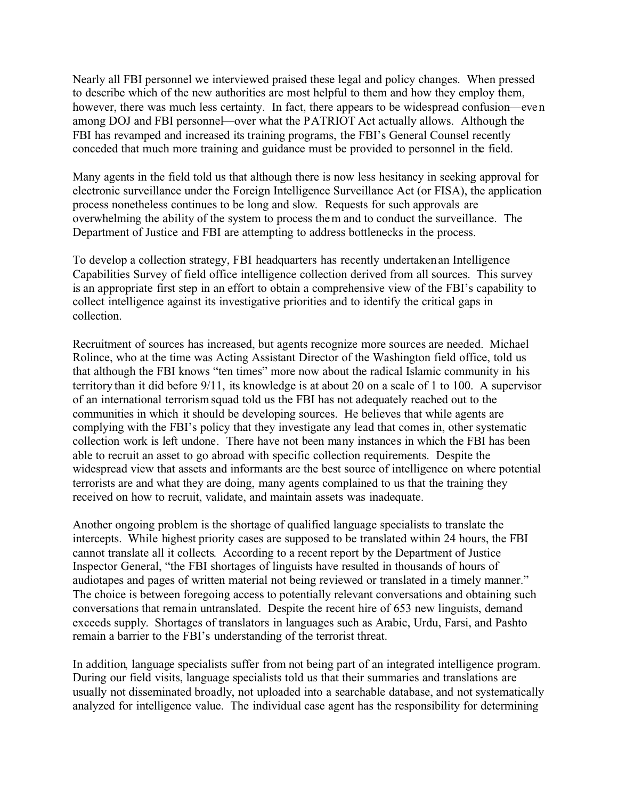Nearly all FBI personnel we interviewed praised these legal and policy changes. When pressed to describe which of the new authorities are most helpful to them and how they employ them, however, there was much less certainty. In fact, there appears to be widespread confusion—even among DOJ and FBI personnel—over what the PATRIOT Act actually allows. Although the FBI has revamped and increased its training programs, the FBI's General Counsel recently conceded that much more training and guidance must be provided to personnel in the field.

Many agents in the field told us that although there is now less hesitancy in seeking approval for electronic surveillance under the Foreign Intelligence Surveillance Act (or FISA), the application process nonetheless continues to be long and slow. Requests for such approvals are overwhelming the ability of the system to process them and to conduct the surveillance. The Department of Justice and FBI are attempting to address bottlenecks in the process.

To develop a collection strategy, FBI headquarters has recently undertaken an Intelligence Capabilities Survey of field office intelligence collection derived from all sources. This survey is an appropriate first step in an effort to obtain a comprehensive view of the FBI's capability to collect intelligence against its investigative priorities and to identify the critical gaps in collection.

Recruitment of sources has increased, but agents recognize more sources are needed. Michael Rolince, who at the time was Acting Assistant Director of the Washington field office, told us that although the FBI knows "ten times" more now about the radical Islamic community in his territory than it did before 9/11, its knowledge is at about 20 on a scale of 1 to 100. A supervisor of an international terrorism squad told us the FBI has not adequately reached out to the communities in which it should be developing sources. He believes that while agents are complying with the FBI's policy that they investigate any lead that comes in, other systematic collection work is left undone. There have not been many instances in which the FBI has been able to recruit an asset to go abroad with specific collection requirements. Despite the widespread view that assets and informants are the best source of intelligence on where potential terrorists are and what they are doing, many agents complained to us that the training they received on how to recruit, validate, and maintain assets was inadequate.

Another ongoing problem is the shortage of qualified language specialists to translate the intercepts. While highest priority cases are supposed to be translated within 24 hours, the FBI cannot translate all it collects. According to a recent report by the Department of Justice Inspector General, "the FBI shortages of linguists have resulted in thousands of hours of audiotapes and pages of written material not being reviewed or translated in a timely manner." The choice is between foregoing access to potentially relevant conversations and obtaining such conversations that remain untranslated. Despite the recent hire of 653 new linguists, demand exceeds supply. Shortages of translators in languages such as Arabic, Urdu, Farsi, and Pashto remain a barrier to the FBI's understanding of the terrorist threat.

In addition, language specialists suffer from not being part of an integrated intelligence program. During our field visits, language specialists told us that their summaries and translations are usually not disseminated broadly, not uploaded into a searchable database, and not systematically analyzed for intelligence value. The individual case agent has the responsibility for determining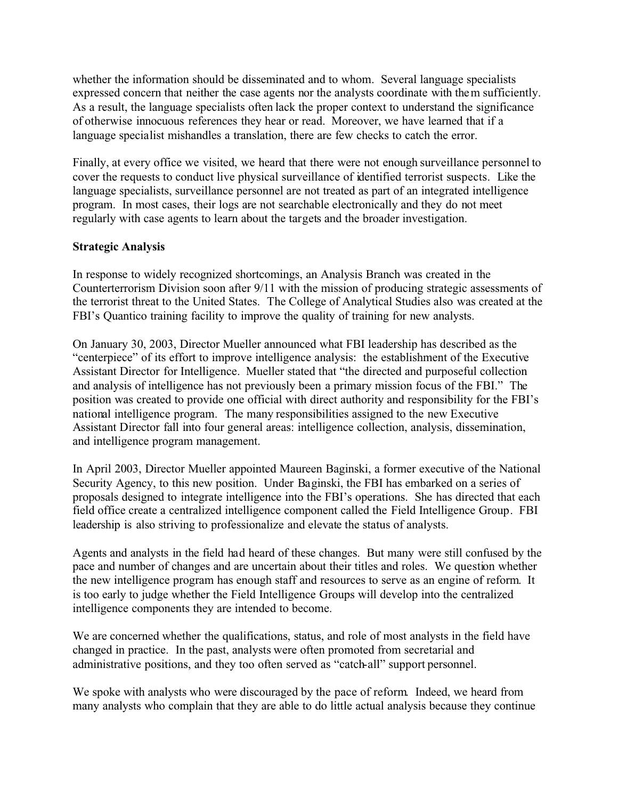whether the information should be disseminated and to whom. Several language specialists expressed concern that neither the case agents nor the analysts coordinate with them sufficiently. As a result, the language specialists often lack the proper context to understand the significance of otherwise innocuous references they hear or read. Moreover, we have learned that if a language specialist mishandles a translation, there are few checks to catch the error.

Finally, at every office we visited, we heard that there were not enough surveillance personnel to cover the requests to conduct live physical surveillance of identified terrorist suspects. Like the language specialists, surveillance personnel are not treated as part of an integrated intelligence program. In most cases, their logs are not searchable electronically and they do not meet regularly with case agents to learn about the targets and the broader investigation.

#### **Strategic Analysis**

In response to widely recognized shortcomings, an Analysis Branch was created in the Counterterrorism Division soon after 9/11 with the mission of producing strategic assessments of the terrorist threat to the United States. The College of Analytical Studies also was created at the FBI's Quantico training facility to improve the quality of training for new analysts.

On January 30, 2003, Director Mueller announced what FBI leadership has described as the "centerpiece" of its effort to improve intelligence analysis: the establishment of the Executive Assistant Director for Intelligence. Mueller stated that "the directed and purposeful collection and analysis of intelligence has not previously been a primary mission focus of the FBI." The position was created to provide one official with direct authority and responsibility for the FBI's national intelligence program. The many responsibilities assigned to the new Executive Assistant Director fall into four general areas: intelligence collection, analysis, dissemination, and intelligence program management.

In April 2003, Director Mueller appointed Maureen Baginski, a former executive of the National Security Agency, to this new position. Under Baginski, the FBI has embarked on a series of proposals designed to integrate intelligence into the FBI's operations. She has directed that each field office create a centralized intelligence component called the Field Intelligence Group. FBI leadership is also striving to professionalize and elevate the status of analysts.

Agents and analysts in the field had heard of these changes. But many were still confused by the pace and number of changes and are uncertain about their titles and roles. We question whether the new intelligence program has enough staff and resources to serve as an engine of reform. It is too early to judge whether the Field Intelligence Groups will develop into the centralized intelligence components they are intended to become.

We are concerned whether the qualifications, status, and role of most analysts in the field have changed in practice. In the past, analysts were often promoted from secretarial and administrative positions, and they too often served as "catch-all" support personnel.

We spoke with analysts who were discouraged by the pace of reform. Indeed, we heard from many analysts who complain that they are able to do little actual analysis because they continue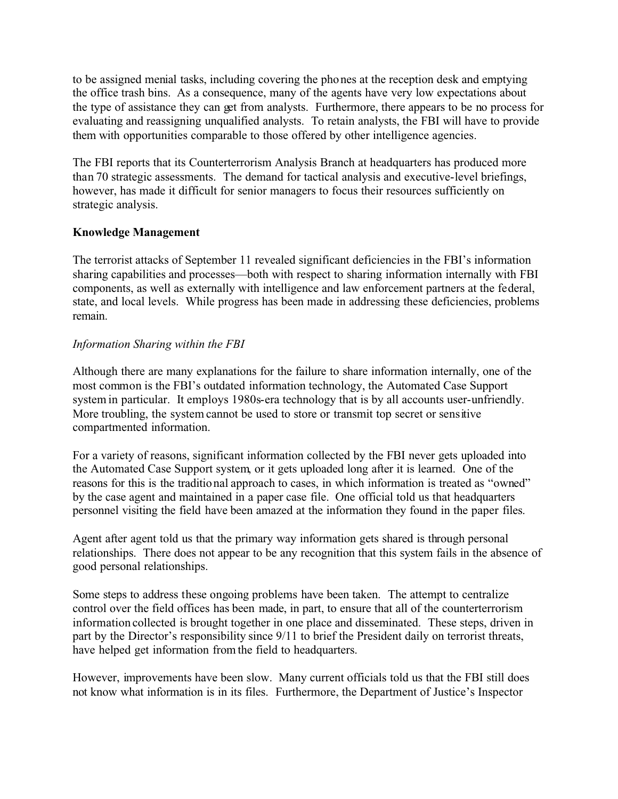to be assigned menial tasks, including covering the phones at the reception desk and emptying the office trash bins. As a consequence, many of the agents have very low expectations about the type of assistance they can get from analysts. Furthermore, there appears to be no process for evaluating and reassigning unqualified analysts. To retain analysts, the FBI will have to provide them with opportunities comparable to those offered by other intelligence agencies.

The FBI reports that its Counterterrorism Analysis Branch at headquarters has produced more than 70 strategic assessments. The demand for tactical analysis and executive-level briefings, however, has made it difficult for senior managers to focus their resources sufficiently on strategic analysis.

### **Knowledge Management**

The terrorist attacks of September 11 revealed significant deficiencies in the FBI's information sharing capabilities and processes—both with respect to sharing information internally with FBI components, as well as externally with intelligence and law enforcement partners at the federal, state, and local levels. While progress has been made in addressing these deficiencies, problems remain.

## *Information Sharing within the FBI*

Although there are many explanations for the failure to share information internally, one of the most common is the FBI's outdated information technology, the Automated Case Support system in particular. It employs 1980s-era technology that is by all accounts user-unfriendly. More troubling, the system cannot be used to store or transmit top secret or sensitive compartmented information.

For a variety of reasons, significant information collected by the FBI never gets uploaded into the Automated Case Support system, or it gets uploaded long after it is learned. One of the reasons for this is the traditional approach to cases, in which information is treated as "owned" by the case agent and maintained in a paper case file. One official told us that headquarters personnel visiting the field have been amazed at the information they found in the paper files.

Agent after agent told us that the primary way information gets shared is through personal relationships. There does not appear to be any recognition that this system fails in the absence of good personal relationships.

Some steps to address these ongoing problems have been taken. The attempt to centralize control over the field offices has been made, in part, to ensure that all of the counterterrorism information collected is brought together in one place and disseminated. These steps, driven in part by the Director's responsibility since 9/11 to brief the President daily on terrorist threats, have helped get information from the field to headquarters.

However, improvements have been slow. Many current officials told us that the FBI still does not know what information is in its files. Furthermore, the Department of Justice's Inspector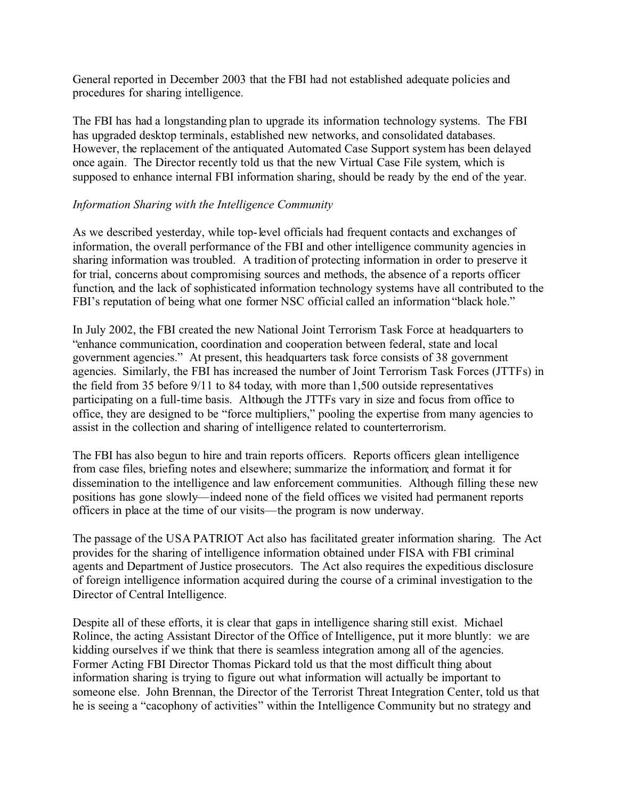General reported in December 2003 that the FBI had not established adequate policies and procedures for sharing intelligence.

The FBI has had a longstanding plan to upgrade its information technology systems. The FBI has upgraded desktop terminals, established new networks, and consolidated databases. However, the replacement of the antiquated Automated Case Support system has been delayed once again. The Director recently told us that the new Virtual Case File system, which is supposed to enhance internal FBI information sharing, should be ready by the end of the year.

#### *Information Sharing with the Intelligence Community*

As we described yesterday, while top-level officials had frequent contacts and exchanges of information, the overall performance of the FBI and other intelligence community agencies in sharing information was troubled. A tradition of protecting information in order to preserve it for trial, concerns about compromising sources and methods, the absence of a reports officer function, and the lack of sophisticated information technology systems have all contributed to the FBI's reputation of being what one former NSC official called an information "black hole."

In July 2002, the FBI created the new National Joint Terrorism Task Force at headquarters to "enhance communication, coordination and cooperation between federal, state and local government agencies." At present, this headquarters task force consists of 38 government agencies. Similarly, the FBI has increased the number of Joint Terrorism Task Forces (JTTFs) in the field from 35 before 9/11 to 84 today, with more than 1,500 outside representatives participating on a full-time basis. Although the JTTFs vary in size and focus from office to office, they are designed to be "force multipliers," pooling the expertise from many agencies to assist in the collection and sharing of intelligence related to counterterrorism.

The FBI has also begun to hire and train reports officers. Reports officers glean intelligence from case files, briefing notes and elsewhere; summarize the information; and format it for dissemination to the intelligence and law enforcement communities. Although filling these new positions has gone slowly—indeed none of the field offices we visited had permanent reports officers in place at the time of our visits—the program is now underway.

The passage of the USA PATRIOT Act also has facilitated greater information sharing. The Act provides for the sharing of intelligence information obtained under FISA with FBI criminal agents and Department of Justice prosecutors. The Act also requires the expeditious disclosure of foreign intelligence information acquired during the course of a criminal investigation to the Director of Central Intelligence.

Despite all of these efforts, it is clear that gaps in intelligence sharing still exist. Michael Rolince, the acting Assistant Director of the Office of Intelligence, put it more bluntly: we are kidding ourselves if we think that there is seamless integration among all of the agencies. Former Acting FBI Director Thomas Pickard told us that the most difficult thing about information sharing is trying to figure out what information will actually be important to someone else. John Brennan, the Director of the Terrorist Threat Integration Center, told us that he is seeing a "cacophony of activities" within the Intelligence Community but no strategy and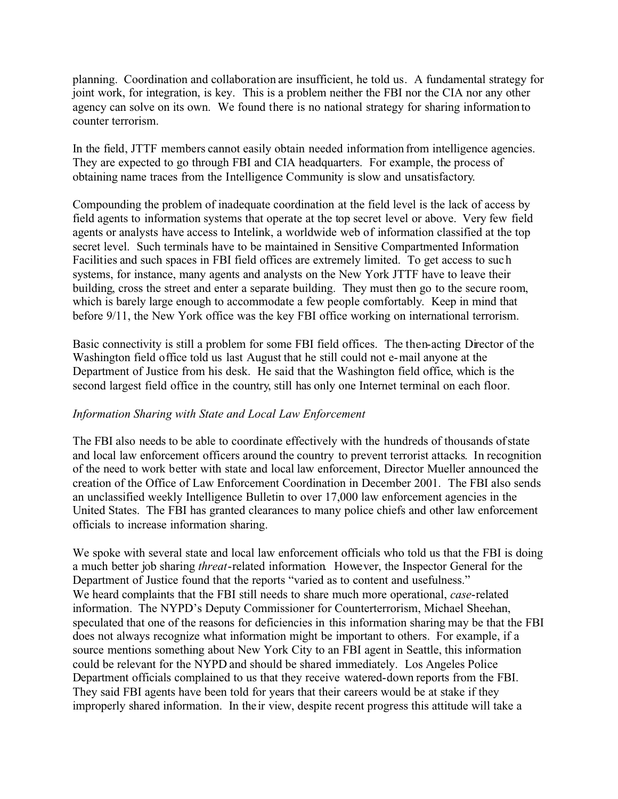planning. Coordination and collaboration are insufficient, he told us. A fundamental strategy for joint work, for integration, is key. This is a problem neither the FBI nor the CIA nor any other agency can solve on its own. We found there is no national strategy for sharing information to counter terrorism.

In the field, JTTF members cannot easily obtain needed information from intelligence agencies. They are expected to go through FBI and CIA headquarters. For example, the process of obtaining name traces from the Intelligence Community is slow and unsatisfactory.

Compounding the problem of inadequate coordination at the field level is the lack of access by field agents to information systems that operate at the top secret level or above. Very few field agents or analysts have access to Intelink, a worldwide web of information classified at the top secret level. Such terminals have to be maintained in Sensitive Compartmented Information Facilities and such spaces in FBI field offices are extremely limited. To get access to such systems, for instance, many agents and analysts on the New York JTTF have to leave their building, cross the street and enter a separate building. They must then go to the secure room, which is barely large enough to accommodate a few people comfortably. Keep in mind that before 9/11, the New York office was the key FBI office working on international terrorism.

Basic connectivity is still a problem for some FBI field offices. The then-acting Director of the Washington field office told us last August that he still could not e-mail anyone at the Department of Justice from his desk. He said that the Washington field office, which is the second largest field office in the country, still has only one Internet terminal on each floor.

### *Information Sharing with State and Local Law Enforcement*

The FBI also needs to be able to coordinate effectively with the hundreds of thousands of state and local law enforcement officers around the country to prevent terrorist attacks. In recognition of the need to work better with state and local law enforcement, Director Mueller announced the creation of the Office of Law Enforcement Coordination in December 2001. The FBI also sends an unclassified weekly Intelligence Bulletin to over 17,000 law enforcement agencies in the United States. The FBI has granted clearances to many police chiefs and other law enforcement officials to increase information sharing.

We spoke with several state and local law enforcement officials who told us that the FBI is doing a much better job sharing *threat*-related information. However, the Inspector General for the Department of Justice found that the reports "varied as to content and usefulness." We heard complaints that the FBI still needs to share much more operational, *case*-related information. The NYPD's Deputy Commissioner for Counterterrorism, Michael Sheehan, speculated that one of the reasons for deficiencies in this information sharing may be that the FBI does not always recognize what information might be important to others. For example, if a source mentions something about New York City to an FBI agent in Seattle, this information could be relevant for the NYPD and should be shared immediately. Los Angeles Police Department officials complained to us that they receive watered-down reports from the FBI. They said FBI agents have been told for years that their careers would be at stake if they improperly shared information. In their view, despite recent progress this attitude will take a